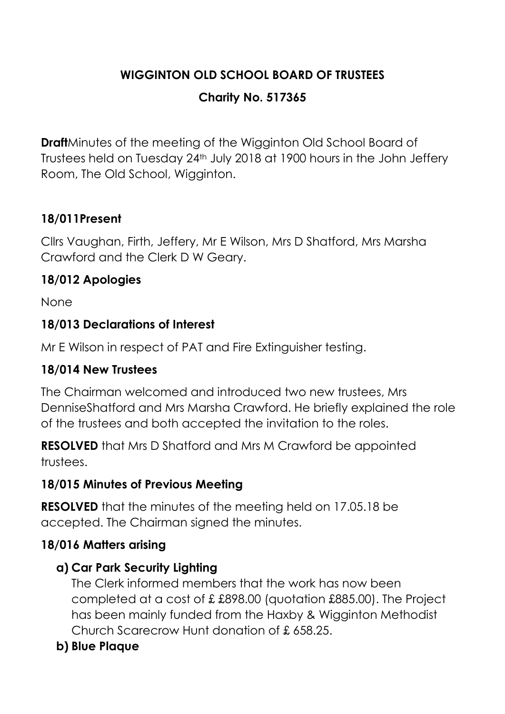# **WIGGINTON OLD SCHOOL BOARD OF TRUSTEES**

## **Charity No. 517365**

**Draft**Minutes of the meeting of the Wigginton Old School Board of Trustees held on Tuesday 24th July 2018 at 1900 hours in the John Jeffery Room, The Old School, Wigginton.

# **18/011Present**

Cllrs Vaughan, Firth, Jeffery, Mr E Wilson, Mrs D Shatford, Mrs Marsha Crawford and the Clerk D W Geary.

## **18/012 Apologies**

None

## **18/013 Declarations of Interest**

Mr E Wilson in respect of PAT and Fire Extinguisher testing.

#### **18/014 New Trustees**

The Chairman welcomed and introduced two new trustees, Mrs DenniseShatford and Mrs Marsha Crawford. He briefly explained the role of the trustees and both accepted the invitation to the roles.

**RESOLVED** that Mrs D Shatford and Mrs M Crawford be appointed trustees.

#### **18/015 Minutes of Previous Meeting**

**RESOLVED** that the minutes of the meeting held on 17.05.18 be accepted. The Chairman signed the minutes.

#### **18/016 Matters arising**

## **a) Car Park Security Lighting**

The Clerk informed members that the work has now been completed at a cost of £ £898.00 (quotation £885.00). The Project has been mainly funded from the Haxby & Wigginton Methodist Church Scarecrow Hunt donation of £ 658.25.

## **b) Blue Plaque**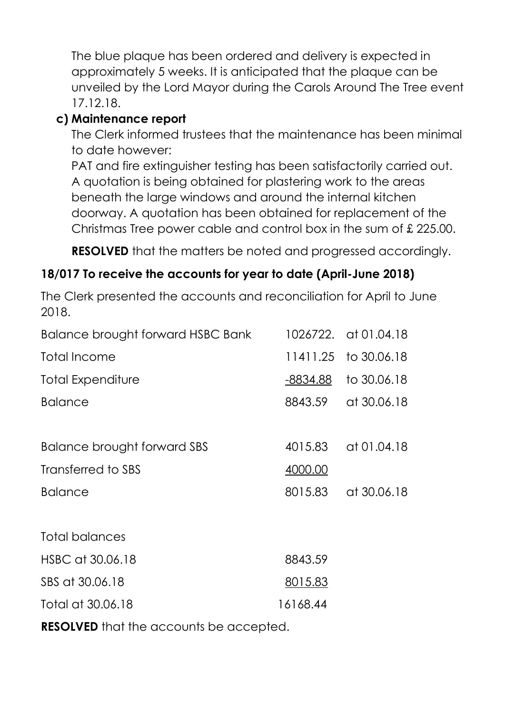The blue plaque has been ordered and delivery is expected in approximately 5 weeks. It is anticipated that the plaque can be unveiled by the Lord Mayor during the Carols Around The Tree event 17.12.18.

### **c) Maintenance report**

The Clerk informed trustees that the maintenance has been minimal to date however:

PAT and fire extinguisher testing has been satisfactorily carried out. A quotation is being obtained for plastering work to the areas beneath the large windows and around the internal kitchen doorway. A quotation has been obtained for replacement of the Christmas Tree power cable and control box in the sum of £ 225.00.

**RESOLVED** that the matters be noted and progressed accordingly.

### **18/017 To receive the accounts for year to date (April-June 2018)**

The Clerk presented the accounts and reconciliation for April to June 2018.

| Balance brought forward HSBC Bank |          | 1026722. at 01.04.18 |
|-----------------------------------|----------|----------------------|
| Total Income                      |          | 11411.25 to 30.06.18 |
| Total Expenditure                 | -8834.88 | to 30.06.18          |
| <b>Balance</b>                    | 8843.59  | at 30.06.18          |
|                                   |          |                      |
| Balance brought forward SBS       | 4015.83  | at 01.04.18          |
| Transferred to SBS                | 4000.00  |                      |
| <b>Balance</b>                    | 8015.83  | at 30.06.18          |
|                                   |          |                      |
| Total balances                    |          |                      |
| HSBC at 30.06.18                  | 8843.59  |                      |
| SBS at 30.06.18                   | 8015.83  |                      |
| Total at 30.06.18                 | 16168.44 |                      |
|                                   |          |                      |

**RESOLVED** that the accounts be accepted.